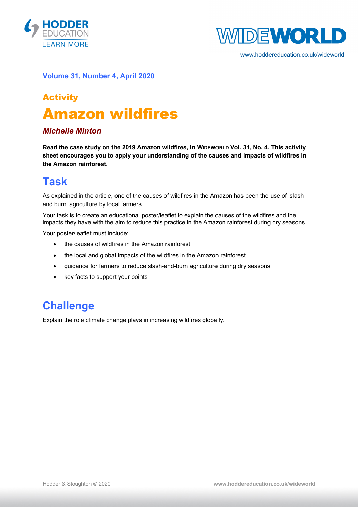



www.hoddereducation.co.uk/wideworld

#### **Volume 31, Number 4, April 2020**

# Activity Amazon wildfires

#### *Michelle Minton*

**Read the case study on the 2019 Amazon wildfires, in WIDEWORLD Vol. 31, No. 4. This activity sheet encourages you to apply your understanding of the causes and impacts of wildfires in the Amazon rainforest.**

## **Task**

As explained in the article, one of the causes of wildfires in the Amazon has been the use of 'slash and burn' agriculture by local farmers.

Your task is to create an educational poster/leaflet to explain the causes of the wildfires and the impacts they have with the aim to reduce this practice in the Amazon rainforest during dry seasons.

Your poster/leaflet must include:

- the causes of wildfires in the Amazon rainforest
- the local and global impacts of the wildfires in the Amazon rainforest
- guidance for farmers to reduce slash-and-burn agriculture during dry seasons
- key facts to support your points

### **Challenge**

Explain the role climate change plays in increasing wildfires globally.